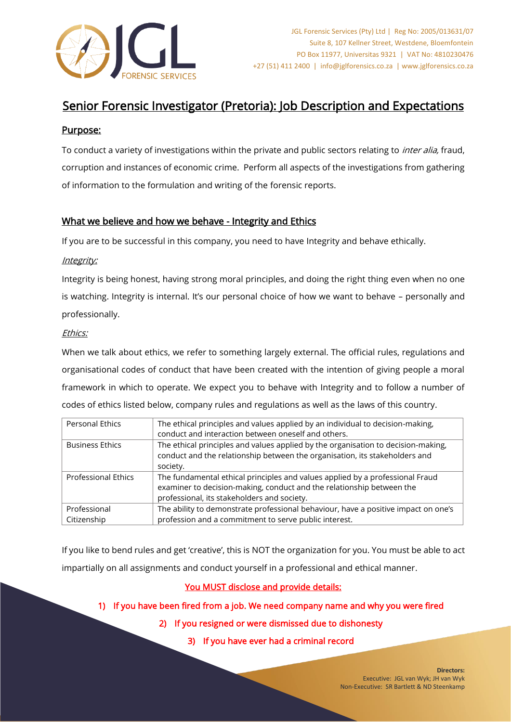

# Senior Forensic Investigator (Pretoria): Job Description and Expectations

# Purpose:

To conduct a variety of investigations within the private and public sectors relating to *inter alia*, fraud, corruption and instances of economic crime. Perform all aspects of the investigations from gathering of information to the formulation and writing of the forensic reports.

# What we believe and how we behave - Integrity and Ethics

If you are to be successful in this company, you need to have Integrity and behave ethically.

#### Integrity:

Integrity is being honest, having strong moral principles, and doing the right thing even when no one is watching. Integrity is internal. It's our personal choice of how we want to behave – personally and professionally.

#### Ethics:

When we talk about ethics, we refer to something largely external. The official rules, regulations and organisational codes of conduct that have been created with the intention of giving people a moral framework in which to operate. We expect you to behave with Integrity and to follow a number of codes of ethics listed below, company rules and regulations as well as the laws of this country.

| <b>Personal Ethics</b>     | The ethical principles and values applied by an individual to decision-making,     |  |
|----------------------------|------------------------------------------------------------------------------------|--|
|                            | conduct and interaction between oneself and others.                                |  |
| <b>Business Ethics</b>     | The ethical principles and values applied by the organisation to decision-making,  |  |
|                            | conduct and the relationship between the organisation, its stakeholders and        |  |
|                            | society.                                                                           |  |
| <b>Professional Ethics</b> | The fundamental ethical principles and values applied by a professional Fraud      |  |
|                            | examiner to decision-making, conduct and the relationship between the              |  |
|                            | professional, its stakeholders and society.                                        |  |
| Professional               | The ability to demonstrate professional behaviour, have a positive impact on one's |  |
| Citizenship                | profession and a commitment to serve public interest.                              |  |

If you like to bend rules and get 'creative', this is NOT the organization for you. You must be able to act impartially on all assignments and conduct yourself in a professional and ethical manner.

## You MUST disclose and provide details:

# 1) If you have been fired from a job. We need company name and why you were fired

2) If you resigned or were dismissed due to dishonesty

3) If you have ever had a criminal record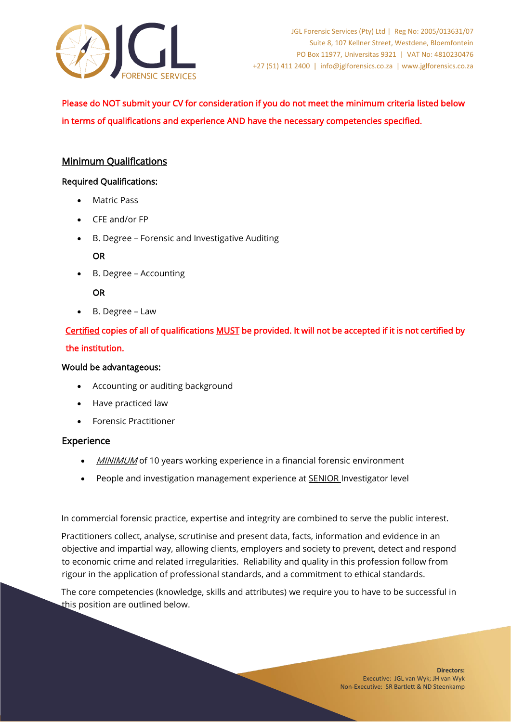

# Please do NOT submit your CV for consideration if you do not meet the minimum criteria listed below in terms of qualifications and experience AND have the necessary competencies specified.

# Minimum Qualifications

#### Required Qualifications:

- Matric Pass
- CFE and/or FP
- B. Degree Forensic and Investigative Auditing

#### OR

• B. Degree – Accounting

## OR

• B. Degree – Law

# Certified copies of all of qualifications MUST be provided. It will not be accepted if it is not certified by the institution.

#### Would be advantageous:

- Accounting or auditing background
- Have practiced law
- Forensic Practitioner

## **Experience**

- **MINIMUM** of 10 years working experience in a financial forensic environment
- People and investigation management experience at SENIOR Investigator level

In commercial forensic practice, expertise and integrity are combined to serve the public interest.

Practitioners collect, analyse, scrutinise and present data, facts, information and evidence in an objective and impartial way, allowing clients, employers and society to prevent, detect and respond to economic crime and related irregularities. Reliability and quality in this profession follow from rigour in the application of professional standards, and a commitment to ethical standards.

The core competencies (knowledge, skills and attributes) we require you to have to be successful in this position are outlined below.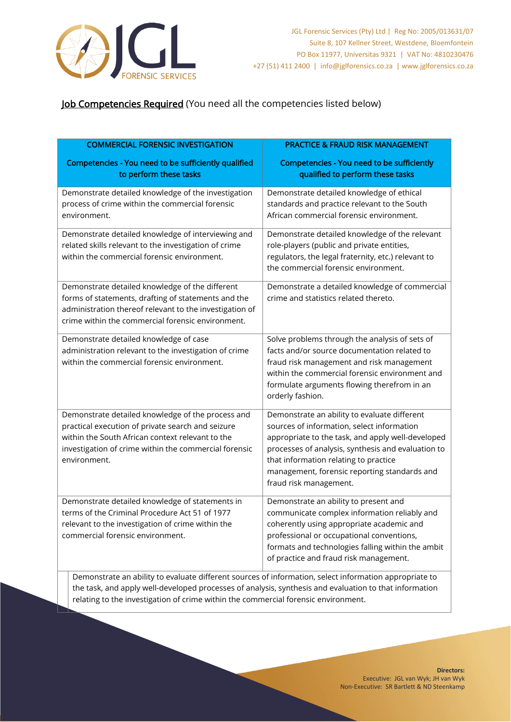

# Job Competencies Required (You need all the competencies listed below)

| <b>COMMERCIAL FORENSIC INVESTIGATION</b>                                                                                                                                                                                                    | <b>PRACTICE &amp; FRAUD RISK MANAGEMENT</b>                                                                                                                                                                                                                                                                                                 |
|---------------------------------------------------------------------------------------------------------------------------------------------------------------------------------------------------------------------------------------------|---------------------------------------------------------------------------------------------------------------------------------------------------------------------------------------------------------------------------------------------------------------------------------------------------------------------------------------------|
| Competencies - You need to be sufficiently qualified<br>to perform these tasks                                                                                                                                                              | <b>Competencies - You need to be sufficiently</b><br>qualified to perform these tasks                                                                                                                                                                                                                                                       |
| Demonstrate detailed knowledge of the investigation<br>process of crime within the commercial forensic<br>environment.                                                                                                                      | Demonstrate detailed knowledge of ethical<br>standards and practice relevant to the South<br>African commercial forensic environment.                                                                                                                                                                                                       |
| Demonstrate detailed knowledge of interviewing and<br>related skills relevant to the investigation of crime<br>within the commercial forensic environment.                                                                                  | Demonstrate detailed knowledge of the relevant<br>role-players (public and private entities,<br>regulators, the legal fraternity, etc.) relevant to<br>the commercial forensic environment.                                                                                                                                                 |
| Demonstrate detailed knowledge of the different<br>forms of statements, drafting of statements and the<br>administration thereof relevant to the investigation of<br>crime within the commercial forensic environment.                      | Demonstrate a detailed knowledge of commercial<br>crime and statistics related thereto.                                                                                                                                                                                                                                                     |
| Demonstrate detailed knowledge of case<br>administration relevant to the investigation of crime<br>within the commercial forensic environment.                                                                                              | Solve problems through the analysis of sets of<br>facts and/or source documentation related to<br>fraud risk management and risk management<br>within the commercial forensic environment and<br>formulate arguments flowing therefrom in an<br>orderly fashion.                                                                            |
| Demonstrate detailed knowledge of the process and<br>practical execution of private search and seizure<br>within the South African context relevant to the<br>investigation of crime within the commercial forensic<br>environment.         | Demonstrate an ability to evaluate different<br>sources of information, select information<br>appropriate to the task, and apply well-developed<br>processes of analysis, synthesis and evaluation to<br>that information relating to practice<br>management, forensic reporting standards and<br>fraud risk management.                    |
| Demonstrate detailed knowledge of statements in<br>terms of the Criminal Procedure Act 51 of 1977<br>relevant to the investigation of crime within the<br>commercial forensic environment.<br>Demonstrate an ability to qualizate different | Demonstrate an ability to present and<br>communicate complex information reliably and<br>coherently using appropriate academic and<br>professional or occupational conventions,<br>formats and technologies falling within the ambit<br>of practice and fraud risk management.<br>sources of information, salest information appropriate to |

Demonstrate an ability to evaluate different sources of information, select information appropriate to the task, and apply well-developed processes of analysis, synthesis and evaluation to that information relating to the investigation of crime within the commercial forensic environment.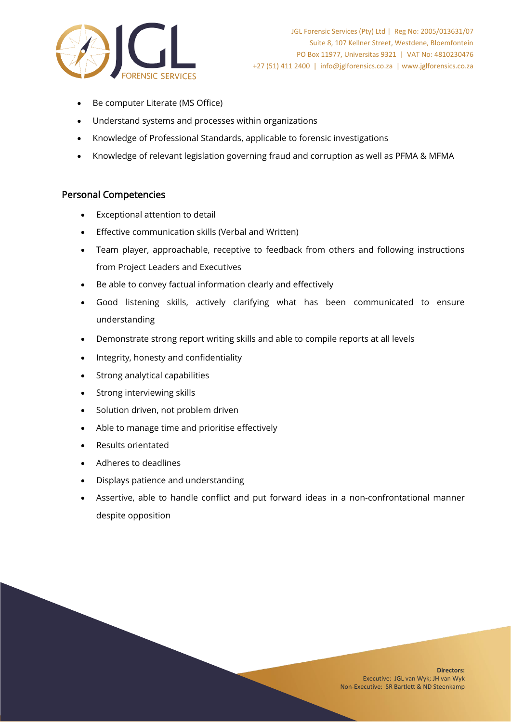

- Be computer Literate (MS Office)
- Understand systems and processes within organizations
- Knowledge of Professional Standards, applicable to forensic investigations
- Knowledge of relevant legislation governing fraud and corruption as well as PFMA & MFMA

## Personal Competencies

- Exceptional attention to detail
- Effective communication skills (Verbal and Written)
- Team player, approachable, receptive to feedback from others and following instructions from Project Leaders and Executives
- Be able to convey factual information clearly and effectively
- Good listening skills, actively clarifying what has been communicated to ensure understanding
- Demonstrate strong report writing skills and able to compile reports at all levels
- Integrity, honesty and confidentiality
- Strong analytical capabilities
- Strong interviewing skills
- Solution driven, not problem driven
- Able to manage time and prioritise effectively
- Results orientated
- Adheres to deadlines
- Displays patience and understanding
- Assertive, able to handle conflict and put forward ideas in a non-confrontational manner despite opposition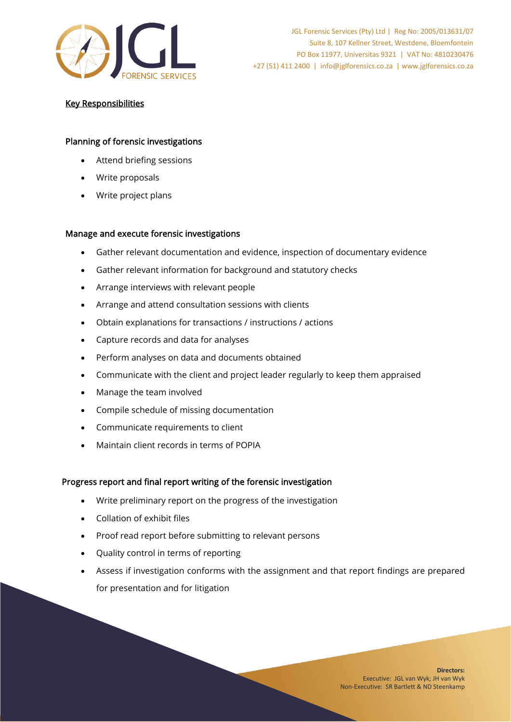

### Key Responsibilities

#### Planning of forensic investigations

- Attend briefing sessions
- Write proposals
- Write project plans

#### Manage and execute forensic investigations

- Gather relevant documentation and evidence, inspection of documentary evidence
- Gather relevant information for background and statutory checks
- Arrange interviews with relevant people
- Arrange and attend consultation sessions with clients
- Obtain explanations for transactions / instructions / actions
- Capture records and data for analyses
- Perform analyses on data and documents obtained
- Communicate with the client and project leader regularly to keep them appraised
- Manage the team involved
- Compile schedule of missing documentation
- Communicate requirements to client
- Maintain client records in terms of POPIA

#### Progress report and final report writing of the forensic investigation

- Write preliminary report on the progress of the investigation
- Collation of exhibit files
- Proof read report before submitting to relevant persons
- Quality control in terms of reporting
- Assess if investigation conforms with the assignment and that report findings are prepared for presentation and for litigation